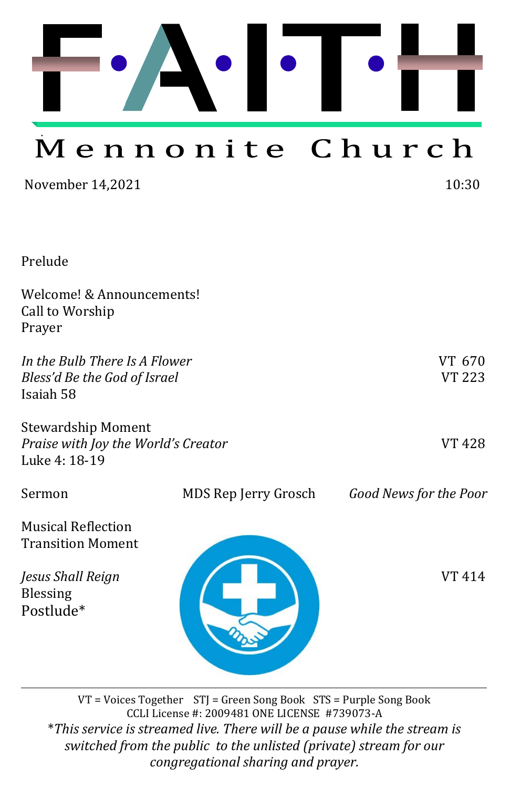

# Mennonite Church

November 14,2021 10:30

| Prelude |
|---------|
|         |
|         |

| Welcome! & Announcements!<br>Call to Worship<br>Prayer                     |                      |                         |
|----------------------------------------------------------------------------|----------------------|-------------------------|
| In the Bulb There Is A Flower<br>Bless'd Be the God of Israel<br>Isaiah 58 |                      | VT 670<br><b>VT 223</b> |
| Stewardship Moment<br>Praise with Joy the World's Creator<br>Luke 4: 18-19 |                      | <b>VT 428</b>           |
| Sermon                                                                     | MDS Rep Jerry Grosch | Good News for the Poor  |
| <b>Musical Reflection</b><br><b>Transition Moment</b>                      |                      |                         |
| Jesus Shall Reign<br><b>Blessing</b><br>Postlude*                          |                      | VT 414                  |

VT = Voices Together STJ = Green Song Book STS = Purple Song Book CCLI License #: 2009481 ONE LICENSE #739073-A \**This service is streamed live. There will be a pause while the stream is switched from the public to the unlisted (private) stream for our congregational sharing and prayer.*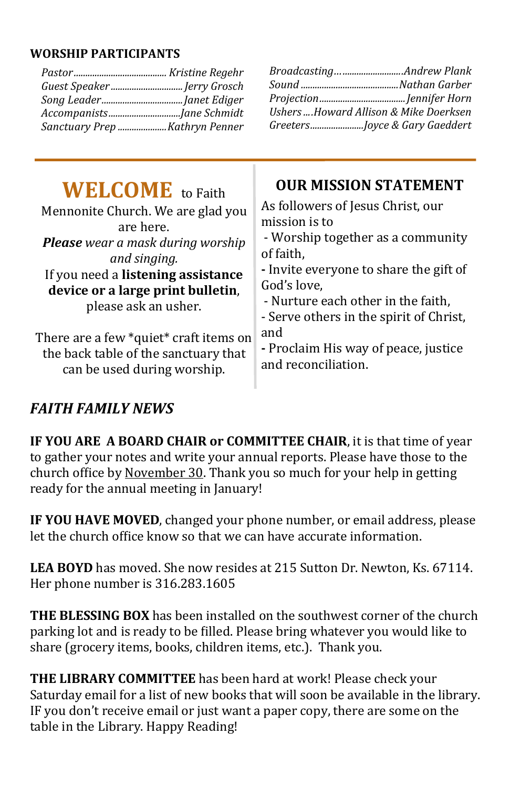#### **WORSHIP PARTICIPANTS**

| Guest Speaker  Jerry Grosch              |                                        |
|------------------------------------------|----------------------------------------|
|                                          |                                        |
|                                          | Ushers Howard Allison & Mike Doerksen  |
| Sanctuary Prep Kathryn Penner            | GreetersJoyce & Gary Gaeddert          |
| <b>WELCOME</b> to Faith                  | <b>OUR MISSION STATEMENT</b>           |
| Mennonite Church. We are glad you        | As followers of Jesus Christ, our      |
| are here.                                | mission is to                          |
| <b>Please</b> wear a mask during worship | - Worship together as a community      |
| and singing.                             | of faith.                              |
| If you need a listening assistance       | - Invite everyone to share the gift of |
| device or a large print bulletin,        | God's love,                            |
| please ask an usher.                     | - Nurture each other in the faith,     |

There are a few \*quiet\* craft items on the back table of the sanctuary that can be used during worship. - Serve others in the spirit of Christ, and **-** Proclaim His way of peace, justice and reconciliation.

## *FAITH FAMILY NEWS*

**IF YOU ARE A BOARD CHAIR or COMMITTEE CHAIR**, it is that time of year to gather your notes and write your annual reports. Please have those to the church office by November 30. Thank you so much for your help in getting ready for the annual meeting in January!

**IF YOU HAVE MOVED**, changed your phone number, or email address, please let the church office know so that we can have accurate information.

**LEA BOYD** has moved. She now resides at 215 Sutton Dr. Newton, Ks. 67114. Her phone number is 316.283.1605

**THE BLESSING BOX** has been installed on the southwest corner of the church parking lot and is ready to be filled. Please bring whatever you would like to share (grocery items, books, children items, etc.). Thank you.

**THE LIBRARY COMMITTEE** has been hard at work! Please check your Saturday email for a list of new books that will soon be available in the library. IF you don't receive email or just want a paper copy, there are some on the table in the Library. Happy Reading!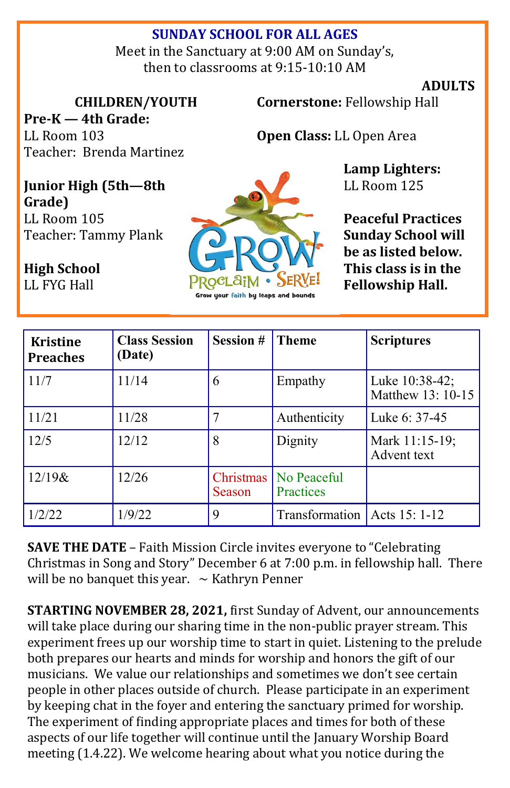## **SUNDAY SCHOOL FOR ALL AGES**

Meet in the Sanctuary at 9:00 AM on Sunday's, then to classrooms at 9:15-10:10 AM

#### **ADULTS**

**CHILDREN/YOUTH**

**Pre-K — 4th Grade:**  LL Room 103 Teacher: Brenda Martinez **Cornerstone:** Fellowship Hall

**Open Class:** LL Open Area

**Lamp Lighters:**  LL Room 125

**Peaceful Practices Sunday School will be as listed below. This class is in the Fellowship Hall.**

| Junior High (5th-8th |  |  |  |  |
|----------------------|--|--|--|--|
| Grade)               |  |  |  |  |
| LL Room 105          |  |  |  |  |
| Teacher: Tammy Plank |  |  |  |  |

**High School** 

LL FYG Hall



| <b>Kristine</b><br><b>Preaches</b> | <b>Class Session</b><br>(Date) | <b>Session #</b>           | <b>Theme</b>                    | <b>Scriptures</b>                   |
|------------------------------------|--------------------------------|----------------------------|---------------------------------|-------------------------------------|
| 11/7                               | 11/14                          | 6                          | Empathy                         | Luke 10:38-42;<br>Matthew 13: 10-15 |
| 11/21                              | 11/28                          | 7                          | Authenticity                    | Luke 6: 37-45                       |
| 12/5                               | 12/12                          | 8                          | Dignity                         | Mark 11:15-19;<br>Advent text       |
| $12/19$ &                          | 12/26                          | Christmas<br><b>Season</b> | No Peaceful<br><b>Practices</b> |                                     |
| 1/2/22                             | 1/9/22                         | 9                          | <b>Transformation</b>           | Acts 15: 1-12                       |

**SAVE THE DATE** – Faith Mission Circle invites everyone to "Celebrating Christmas in Song and Story" December 6 at 7:00 p.m. in fellowship hall. There will be no banquet this year.  $\sim$  Kathryn Penner

**STARTING NOVEMBER 28, 2021,** first Sunday of Advent, our announcements will take place during our sharing time in the non-public prayer stream. This experiment frees up our worship time to start in quiet. Listening to the prelude both prepares our hearts and minds for worship and honors the gift of our musicians. We value our relationships and sometimes we don't see certain people in other places outside of church. Please participate in an experiment by keeping chat in the foyer and entering the sanctuary primed for worship. The experiment of finding appropriate places and times for both of these aspects of our life together will continue until the January Worship Board meeting (1.4.22). We welcome hearing about what you notice during the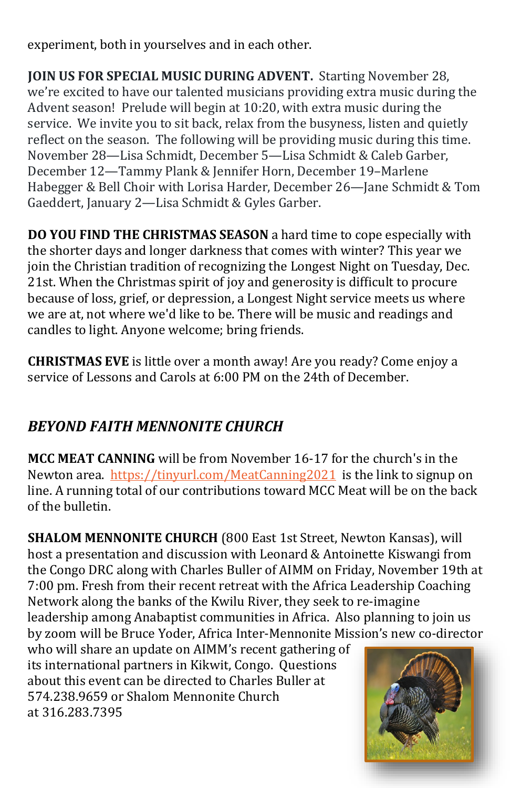experiment, both in yourselves and in each other.

**JOIN US FOR SPECIAL MUSIC DURING ADVENT.** Starting November 28, we're excited to have our talented musicians providing extra music during the Advent season! Prelude will begin at 10:20, with extra music during the service. We invite you to sit back, relax from the busyness, listen and quietly reflect on the season. The following will be providing music during this time. November 28—Lisa Schmidt, December 5—Lisa Schmidt & Caleb Garber, December 12—Tammy Plank & Jennifer Horn, December 19–Marlene Habegger & Bell Choir with Lorisa Harder, December 26—Jane Schmidt & Tom Gaeddert, January 2—Lisa Schmidt & Gyles Garber.

**DO YOU FIND THE CHRISTMAS SEASON** a hard time to cope especially with the shorter days and longer darkness that comes with winter? This year we join the Christian tradition of recognizing the Longest Night on Tuesday, Dec. 21st. When the Christmas spirit of joy and generosity is difficult to procure because of loss, grief, or depression, a Longest Night service meets us where we are at, not where we'd like to be. There will be music and readings and candles to light. Anyone welcome; bring friends.

**CHRISTMAS EVE** is little over a month away! Are you ready? Come enjoy a service of Lessons and Carols at 6:00 PM on the 24th of December.

## *BEYOND FAITH MENNONITE CHURCH*

**MCC MEAT CANNING** will be from November 16-17 for the church's in the Newton area. <https://tinyurl.com/MeatCanning2021>is the link to signup on line. A running total of our contributions toward MCC Meat will be on the back of the bulletin.

**SHALOM MENNONITE CHURCH** (800 East 1st Street, Newton Kansas), will host a presentation and discussion with Leonard & Antoinette Kiswangi from the Congo DRC along with Charles Buller of AIMM on Friday, November 19th at 7:00 pm. Fresh from their recent retreat with the Africa Leadership Coaching Network along the banks of the Kwilu River, they seek to re-imagine leadership among Anabaptist communities in Africa. Also planning to join us by zoom will be Bruce Yoder, Africa Inter-Mennonite Mission's new co-director

who will share an update on AIMM's recent gathering of its international partners in Kikwit, Congo. Questions about this event can be directed to Charles Buller at 574.238.9659 or Shalom Mennonite Church at 316.283.7395

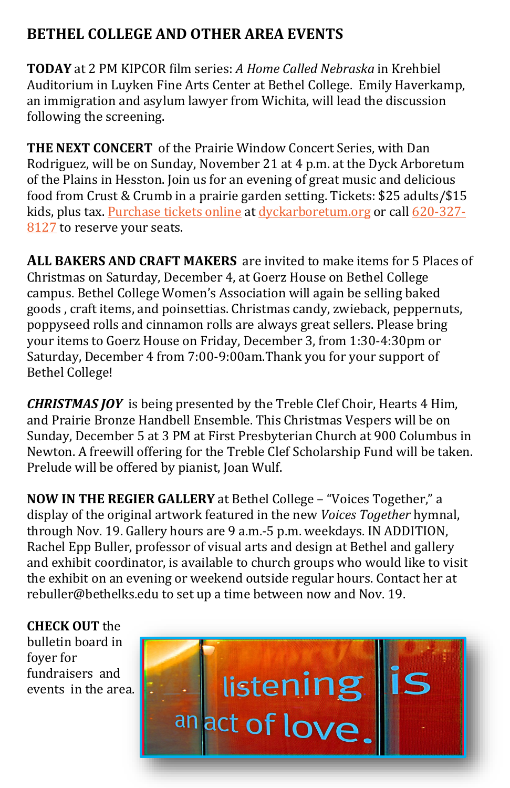## **BETHEL COLLEGE AND OTHER AREA EVENTS**

**TODAY** at 2 PM KIPCOR film series: *A Home Called Nebraska* in Krehbiel Auditorium in Luyken Fine Arts Center at Bethel College. Emily Haverkamp, an immigration and asylum lawyer from Wichita, will lead the discussion following the screening.

**THE NEXT CONCERT** of the Prairie Window Concert Series, with Dan Rodriguez, will be on Sunday, November 21 at 4 p.m. at the Dyck Arboretum of the Plains in Hesston. Join us for an evening of great music and delicious food from Crust & Crumb in a prairie garden setting. Tickets: \$25 adults/\$15 kids, plus tax. [Purchase tickets online](http://dyckarboretum.square.site/upcoming-events) at [dyckarboretum.org](http://dyckarboretum.org/) or call [620](tel:620-327-8127)-327-[8127](tel:620-327-8127) to reserve your seats.

**ALL BAKERS AND CRAFT MAKERS** are invited to make items for 5 Places of Christmas on Saturday, December 4, at Goerz House on Bethel College campus. Bethel College Women's Association will again be selling baked goods , craft items, and poinsettias. Christmas candy, zwieback, peppernuts, poppyseed rolls and cinnamon rolls are always great sellers. Please bring your items to Goerz House on Friday, December 3, from 1:30-4:30pm or Saturday, December 4 from 7:00-9:00am.Thank you for your support of Bethel College!

*CHRISTMAS JOY* is being presented by the Treble Clef Choir, Hearts 4 Him, and Prairie Bronze Handbell Ensemble. This Christmas Vespers will be on Sunday, December 5 at 3 PM at First Presbyterian Church at 900 Columbus in Newton. A freewill offering for the Treble Clef Scholarship Fund will be taken. Prelude will be offered by pianist, Joan Wulf.

**NOW IN THE REGIER GALLERY** at Bethel College – "Voices Together," a display of the original artwork featured in the new *Voices Together* hymnal, through Nov. 19. Gallery hours are 9 a.m.-5 p.m. weekdays. IN ADDITION, Rachel Epp Buller, professor of visual arts and design at Bethel and gallery and exhibit coordinator, is available to church groups who would like to visit the exhibit on an evening or weekend outside regular hours. Contact her at [rebuller@bethelks.edu](mailto:rebuller@bethelks.edu) to set up a time between now and Nov. 19.

**CHECK OUT** the bulletin board in foyer for fundraisers and events in the area.